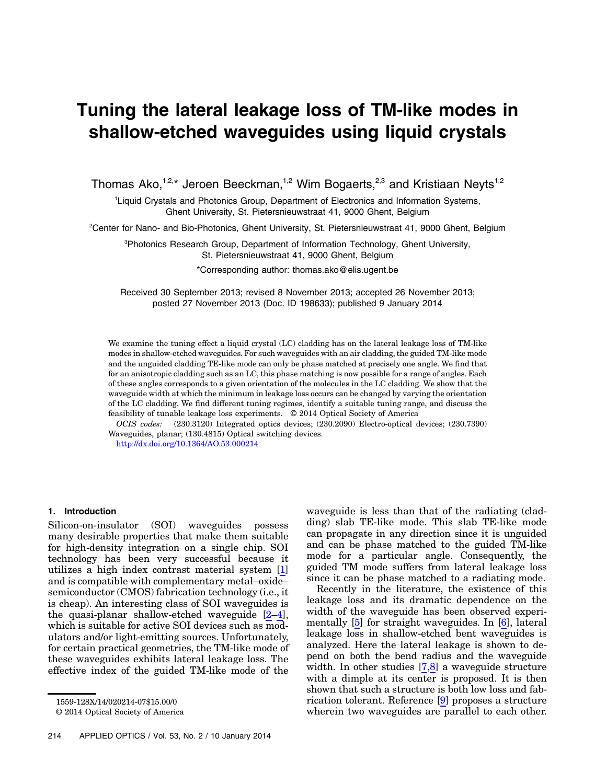# Tuning the lateral leakage loss of TM-like modes in shallow-etched waveguides using liquid crystals

Thomas Ako,<sup>1,2,\*</sup> Jeroen Beeckman,<sup>1,2</sup> Wim Bogaerts,<sup>2,3</sup> and Kristiaan Neyts<sup>1,2</sup>

1 Liquid Crystals and Photonics Group, Department of Electronics and Information Systems, Ghent University, St. Pietersnieuwstraat 41, 9000 Ghent, Belgium

2 Center for Nano- and Bio-Photonics, Ghent University, St. Pietersnieuwstraat 41, 9000 Ghent, Belgium

<sup>3</sup>Photonics Research Group, Department of Information Technology, Ghent University, St. Pietersnieuwstraat 41, 9000 Ghent, Belgium

\*Corresponding author: thomas.ako@elis.ugent.be

Received 30 September 2013; revised 8 November 2013; accepted 26 November 2013; posted 27 November 2013 (Doc. ID 198633); published 9 January 2014

We examine the tuning effect a liquid crystal (LC) cladding has on the lateral leakage loss of TM-like modes in shallow-etched waveguides. For such waveguides with an air cladding, the guided TM-like mode and the unguided cladding TE-like mode can only be phase matched at precisely one angle. We find that for an anisotropic cladding such as an LC, this phase matching is now possible for a range of angles. Each of these angles corresponds to a given orientation of the molecules in the LC cladding. We show that the waveguide width at which the minimum in leakage loss occurs can be changed by varying the orientation of the LC cladding. We find different tuning regimes, identify a suitable tuning range, and discuss the feasibility of tunable leakage loss experiments. © 2014 Optical Society of America

OCIS codes: (230.3120) Integrated optics devices; (230.2090) Electro-optical devices; (230.7390) Waveguides, planar; (130.4815) Optical switching devices.

<http://dx.doi.org/10.1364/AO.53.000214>

#### 1. Introduction

Silicon-on-insulator (SOI) waveguides possess many desirable properties that make them suitable for high-density integration on a single chip. SOI technology has been very successful because it utilizes a high index contrast material system [\[1\]](#page-5-0) and is compatible with complementary metal–oxide– semiconductor (CMOS) fabrication technology (i.e., it is cheap). An interesting class of SOI waveguides is the quasi-planar shallow-etched waveguide [\[2](#page-5-1)–[4](#page-6-0)], which is suitable for active SOI devices such as modulators and/or light-emitting sources. Unfortunately, for certain practical geometries, the TM-like mode of these waveguides exhibits lateral leakage loss. The effective index of the guided TM-like mode of the

waveguide is less than that of the radiating (cladding) slab TE-like mode. This slab TE-like mode can propagate in any direction since it is unguided and can be phase matched to the guided TM-like mode for a particular angle. Consequently, the guided TM mode suffers from lateral leakage loss since it can be phase matched to a radiating mode.

Recently in the literature, the existence of this leakage loss and its dramatic dependence on the width of the waveguide has been observed experimentally [[5](#page-6-1)] for straight waveguides. In [\[6\]](#page-6-2), lateral leakage loss in shallow-etched bent waveguides is analyzed. Here the lateral leakage is shown to depend on both the bend radius and the waveguide width. In other studies [[7](#page-6-3)[,8\]](#page-6-4) a waveguide structure with a dimple at its center is proposed. It is then shown that such a structure is both low loss and fabrication tolerant. Reference [\[9\]](#page-6-5) proposes a structure wherein two waveguides are parallel to each other.

<sup>1559-128</sup>X/14/020214-07\$15.00/0

<sup>© 2014</sup> Optical Society of America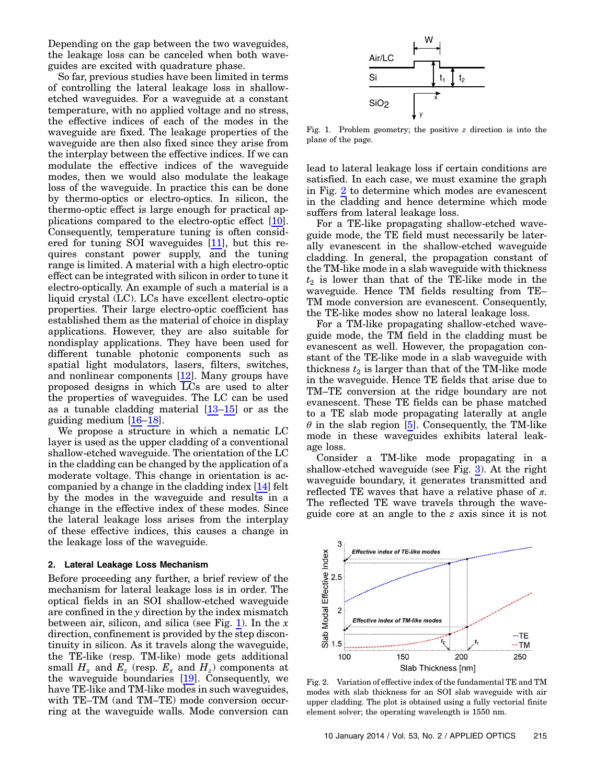Depending on the gap between the two waveguides, the leakage loss can be canceled when both waveguides are excited with quadrature phase.

So far, previous studies have been limited in terms of controlling the lateral leakage loss in shallowetched waveguides. For a waveguide at a constant temperature, with no applied voltage and no stress, the effective indices of each of the modes in the waveguide are fixed. The leakage properties of the waveguide are then also fixed since they arise from the interplay between the effective indices. If we can modulate the effective indices of the waveguide modes, then we would also modulate the leakage loss of the waveguide. In practice this can be done by thermo-optics or electro-optics. In silicon, the thermo-optic effect is large enough for practical applications compared to the electro-optic effect [\[10](#page-6-6)]. Consequently, temperature tuning is often considered for tuning SOI waveguides [[11\]](#page-6-7), but this requires constant power supply, and the tuning range is limited. A material with a high electro-optic effect can be integrated with silicon in order to tune it electro-optically. An example of such a material is a liquid crystal (LC). LCs have excellent electro-optic properties. Their large electro-optic coefficient has established them as the material of choice in display applications. However, they are also suitable for nondisplay applications. They have been used for different tunable photonic components such as spatial light modulators, lasers, filters, switches, and nonlinear components [[12\]](#page-6-8). Many groups have proposed designs in which LCs are used to alter the properties of waveguides. The LC can be used as a tunable cladding material [[13](#page-6-9)–[15\]](#page-6-10) or as the guiding medium [[16](#page-6-11)–[18](#page-6-12)].

We propose a structure in which a nematic LC layer is used as the upper cladding of a conventional shallow-etched waveguide. The orientation of the LC in the cladding can be changed by the application of a moderate voltage. This change in orientation is accompanied by a change in the cladding index [\[14](#page-6-13)] felt by the modes in the waveguide and results in a change in the effective index of these modes. Since the lateral leakage loss arises from the interplay of these effective indices, this causes a change in the leakage loss of the waveguide.

# 2. Lateral Leakage Loss Mechanism

Before proceeding any further, a brief review of the mechanism for lateral leakage loss is in order. The optical fields in an SOI shallow-etched waveguide are confined in the y direction by the index mismatch between air, silicon, and silica (see Fig. [1](#page-1-0)). In the  $x$ direction, confinement is provided by the step discontinuity in silicon. As it travels along the waveguide, the TE-like (resp. TM-like) mode gets additional small  $H_x$  and  $E_z$  (resp.  $E_x$  and  $H_z$ ) components at the waveguide boundaries [[19\]](#page-6-14). Consequently, we have TE-like and TM-like modes in such waveguides, with TE–TM (and TM–TE) mode conversion occurring at the waveguide walls. Mode conversion can

<span id="page-1-0"></span>

Fig. 1. Problem geometry; the positive  $z$  direction is into the plane of the page.

lead to lateral leakage loss if certain conditions are satisfied. In each case, we must examine the graph in Fig. [2](#page-1-1) to determine which modes are evanescent in the cladding and hence determine which mode suffers from lateral leakage loss.

For a TE-like propagating shallow-etched waveguide mode, the TE field must necessarily be laterally evanescent in the shallow-etched waveguide cladding. In general, the propagation constant of the TM-like mode in a slab waveguide with thickness  $t_2$  is lower than that of the TE-like mode in the waveguide. Hence TM fields resulting from TE– TM mode conversion are evanescent. Consequently, the TE-like modes show no lateral leakage loss.

For a TM-like propagating shallow-etched waveguide mode, the TM field in the cladding must be evanescent as well. However, the propagation constant of the TE-like mode in a slab waveguide with thickness  $t_2$  is larger than that of the TM-like mode in the waveguide. Hence TE fields that arise due to TM–TE conversion at the ridge boundary are not evanescent. These TE fields can be phase matched to a TE slab mode propagating laterally at angle  $\theta$  in the slab region [[5](#page-6-1)]. Consequently, the TM-like mode in these waveguides exhibits lateral leakage loss.

Consider a TM-like mode propagating in a shallow-etched waveguide (see Fig. [3\)](#page-2-0). At the right waveguide boundary, it generates transmitted and reflected TE waves that have a relative phase of  $\pi$ . The reflected TE wave travels through the waveguide core at an angle to the z axis since it is not

<span id="page-1-1"></span>

Fig. 2. Variation of effective index of the fundamental TE and TM modes with slab thickness for an SOI slab waveguide with air upper cladding. The plot is obtained using a fully vectorial finite element solver; the operating wavelength is 1550 nm.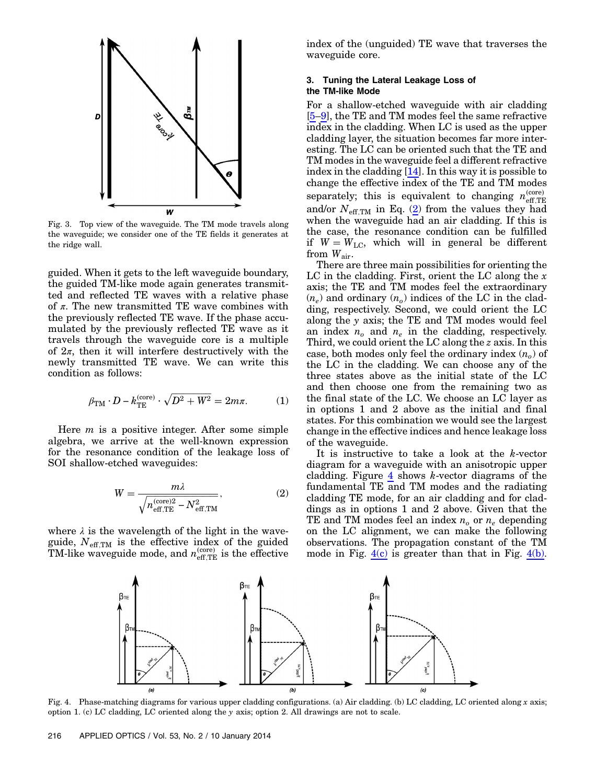<span id="page-2-0"></span>

Fig. 3. Top view of the waveguide. The TM mode travels along the waveguide; we consider one of the TE fields it generates at the ridge wall.

guided. When it gets to the left waveguide boundary, the guided TM-like mode again generates transmitted and reflected TE waves with a relative phase of  $\pi$ . The new transmitted TE wave combines with the previously reflected TE wave. If the phase accumulated by the previously reflected TE wave as it travels through the waveguide core is a multiple of  $2\pi$ , then it will interfere destructively with the newly transmitted TE wave. We can write this condition as follows:<br>  $\beta_{\text{TM}} \cdot D - k_{\text{TE}}^{(\text{core})}$ 

$$
\beta_{\rm TM} \cdot D - k_{\rm TE}^{\rm (core)} \cdot \sqrt{D^2 + W^2} = 2m\pi. \tag{1}
$$

<span id="page-2-1"></span>Here  $m$  is a positive integer. After some simple algebra, we arrive at the well-known expression for the resonance condition of the leakage loss of SOI shallow-etched waveguides:

$$
W = \frac{m\lambda}{\sqrt{n_{\text{eff,TE}}^{\text{(core)}} - N_{\text{eff,TM}}^2}},\tag{2}
$$

<span id="page-2-2"></span>where  $\lambda$  is the wavelength of the light in the waveguide,  $N_{\text{eff,TM}}$  is the effective index of the guided TM-like waveguide mode, and  $n_{\text{eff,TE}}^{(\text{core})}$  is the effective

index of the (unguided) TE wave that traverses the waveguide core.

# 3. Tuning the Lateral Leakage Loss of the TM-like Mode

For a shallow-etched waveguide with air cladding [\[5](#page-6-1)–[9\]](#page-6-5), the TE and TM modes feel the same refractive index in the cladding. When LC is used as the upper cladding layer, the situation becomes far more interesting. The LC can be oriented such that the TE and TM modes in the waveguide feel a different refractive index in the cladding [[14\]](#page-6-13). In this way it is possible to change the effective index of the TE and TM modes separately; this is equivalent to changing  $n_{\text{eff,TE}}^{(\text{core})}$ and/or  $N_{\text{eff,TM}}$  in Eq. ([2](#page-2-1)) from the values they had when the waveguide had an air cladding. If this is the case, the resonance condition can be fulfilled if  $W = W_{LC}$ , which will in general be different from  $W_{\text{air}}$ .

There are three main possibilities for orienting the LC in the cladding. First, orient the LC along the  $x$ axis; the TE and TM modes feel the extraordinary  $(n_e)$  and ordinary  $(n_o)$  indices of the LC in the cladding, respectively. Second, we could orient the LC along the  $y$  axis; the TE and TM modes would feel an index  $n<sub>o</sub>$  and  $n<sub>e</sub>$  in the cladding, respectively. Third, we could orient the LC along the z axis. In this case, both modes only feel the ordinary index  $(n_o)$  of the LC in the cladding. We can choose any of the three states above as the initial state of the LC and then choose one from the remaining two as the final state of the LC. We choose an LC layer as in options 1 and 2 above as the initial and final states. For this combination we would see the largest change in the effective indices and hence leakage loss of the waveguide.

It is instructive to take a look at the k-vector diagram for a waveguide with an anisotropic upper cladding. Figure  $4$  shows  $k$ -vector diagrams of the fundamental TE and TM modes and the radiating cladding TE mode, for an air cladding and for claddings as in options 1 and 2 above. Given that the TE and TM modes feel an index  $n<sub>o</sub>$  or  $n<sub>e</sub>$  depending on the LC alignment, we can make the following observations. The propagation constant of the TM mode in Fig.  $4(c)$  is greater than that in Fig.  $4(b)$ .



Fig. 4. Phase-matching diagrams for various upper cladding configurations. (a) Air cladding, (b) LC cladding, LC oriented along x axis; option 1. (c) LC cladding, LC oriented along the y axis; option 2. All drawings are not to scale.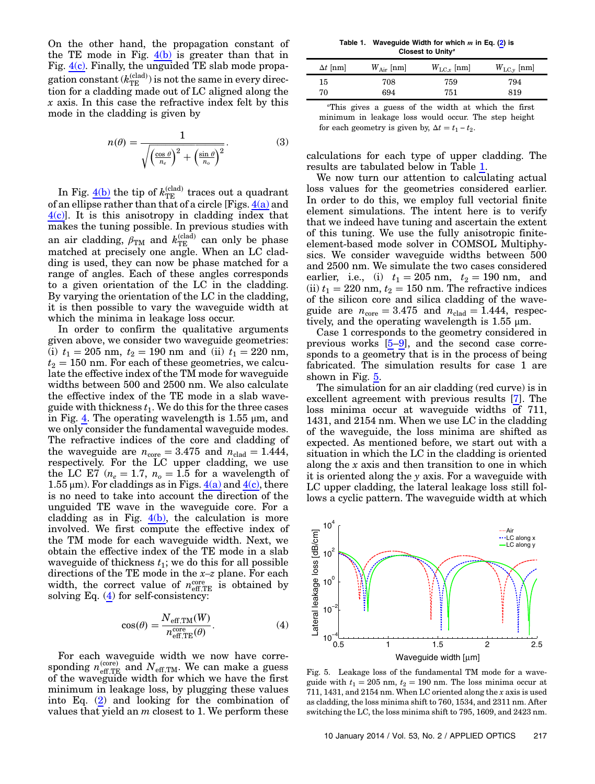On the other hand, the propagation constant of the TE mode in Fig.  $4(b)$  is greater than that in Fig.  $4(c)$ . Finally, the unguided TE slab mode propa- $\mathrm{gation~constant}$   $(k_\mathrm{TE}^{(\mathrm{clad})})$  is not the same in every direction for a cladding made out of LC aligned along the  $x$  axis. In this case the refractive index felt by this mode in the cladding is given by

$$
n(\theta) = \frac{1}{\sqrt{\left(\frac{\cos \theta}{n_e}\right)^2 + \left(\frac{\sin \theta}{n_o}\right)^2}}.
$$
 (3)

In Fig.  $\underline{4(b)}$  $\underline{4(b)}$  $\underline{4(b)}$  the tip of  $k_\text{TE}^\text{(clad)}$  traces out a quadrant of an ellipse rather than that of a circle [Figs.  $4(a)$  and  $4(c)$ . It is this anisotropy in cladding index that makes the tuning possible. In previous studies with an air cladding,  $\beta_{\rm TM}$  and  $k_{\rm TE}^{\rm (clad)}$  can only be phase matched at precisely one angle. When an LC cladding is used, they can now be phase matched for a range of angles. Each of these angles corresponds to a given orientation of the LC in the cladding. By varying the orientation of the LC in the cladding, it is then possible to vary the waveguide width at which the minima in leakage loss occur.

In order to confirm the qualitative arguments given above, we consider two waveguide geometries: (i)  $t_1 = 205$  nm,  $t_2 = 190$  nm and (ii)  $t_1 = 220$  nm,  $t_2 = 150$  nm. For each of these geometries, we calculate the effective index of the TM mode for waveguide widths between 500 and 2500 nm. We also calculate the effective index of the TE mode in a slab waveguide with thickness  $t_1$ . We do this for the three cases in Fig.  $4$ . The operating wavelength is 1.55  $\mu$ m, and we only consider the fundamental waveguide modes. The refractive indices of the core and cladding of the waveguide are  $n_{\text{core}} = 3.475$  and  $n_{\text{clad}} = 1.444$ , respectively. For the LC upper cladding, we use the LC E7 ( $n_e = 1.7$ ,  $n_o = 1.5$  for a wavelength of 1.55  $\mu$ m). For claddings as in Figs. [4\(a\)](#page-2-2) and [4\(c\),](#page-2-2) there is no need to take into account the direction of the unguided TE wave in the waveguide core. For a cladding as in Fig.  $4(b)$ , the calculation is more involved. We first compute the effective index of the TM mode for each waveguide width. Next, we obtain the effective index of the TE mode in a slab waveguide of thickness  $t_1$ ; we do this for all possible directions of the TE mode in the x*–*z plane. For each width, the correct value of  $n_{\text{eff,TE}}^{\text{core}}$  is obtained by solving Eq. [\(4\)](#page-3-0) for self-consistency:

$$
\cos(\theta) = \frac{N_{\text{eff,TM}}(W)}{n_{\text{eff,TE}}^{\text{core}}(\theta)}.
$$
\n(4)

<span id="page-3-0"></span>For each waveguide width we now have corresponding  $n_{\text{eff,TE}}^{(\text{core})}$  and  $N_{\text{eff,TM}}$ . We can make a guess of the waveguide width for which we have the first minimum in leakage loss, by plugging these values into Eq. ([2](#page-2-1)) and looking for the combination of values that yield an  $m$  closest to 1. We perform these

Table 1. Waveguide Width for which *m* in Eq. ([2\)](#page-2-1) is Closest to Unity<sup>a</sup>

<span id="page-3-1"></span>

| $\Delta t$ [nm] | $W_{\text{Air}}$ [nm] | $W_{\text{LC},x}$ [nm] | $W_{\text{LC},y}$ [nm] |
|-----------------|-----------------------|------------------------|------------------------|
| 15              | 708                   | 759                    | 794                    |
| 70              | 694                   | 751                    | 819                    |

a This gives a guess of the width at which the first minimum in leakage loss would occur. The step height <sup>a</sup>This gives a guess of the width at minimum in leakage loss would occur. <sup>1</sup> for each geometry is given by,  $\Delta t = t_1 - t_2$ .

calculations for each type of upper cladding. The results are tabulated below in Table [1](#page-3-1).

We now turn our attention to calculating actual loss values for the geometries considered earlier. In order to do this, we employ full vectorial finite element simulations. The intent here is to verify that we indeed have tuning and ascertain the extent of this tuning. We use the fully anisotropic finiteelement-based mode solver in COMSOL Multiphysics. We consider waveguide widths between 500 and 2500 nm. We simulate the two cases considered earlier, i.e., (i)  $t_1 = 205$  nm,  $t_2 = 190$  nm, and (ii)  $t_1 = 220$  nm,  $t_2 = 150$  nm. The refractive indices of the silicon core and silica cladding of the waveguide are  $n_{\text{core}} = 3.475$  and  $n_{\text{clad}} = 1.444$ , respectively, and the operating wavelength is 1.55 μm.

Case 1 corresponds to the geometry considered in previous works [\[5](#page-6-1)–[9\]](#page-6-5), and the second case corresponds to a geometry that is in the process of being fabricated. The simulation results for case 1 are shown in Fig. [5](#page-3-2).

The simulation for an air cladding (red curve) is in excellent agreement with previous results [\[7](#page-6-3)]. The loss minima occur at waveguide widths of 711, 1431, and 2154 nm. When we use LC in the cladding of the waveguide, the loss minima are shifted as expected. As mentioned before, we start out with a situation in which the LC in the cladding is oriented along the x axis and then transition to one in which it is oriented along the  $y$  axis. For a waveguide with LC upper cladding, the lateral leakage loss still follows a cyclic pattern. The waveguide width at which

<span id="page-3-2"></span>

Fig. 5. Leakage loss of the fundamental TM mode for a waveguide with  $t_1 = 205$  nm,  $t_2 = 190$  nm. The loss minima occur at 711, 1431, and 2154 nm. When LC oriented along the x axis is used as cladding, the loss minima shift to 760, 1534, and 2311 nm. After switching the LC, the loss minima shift to 795, 1609, and 2423 nm.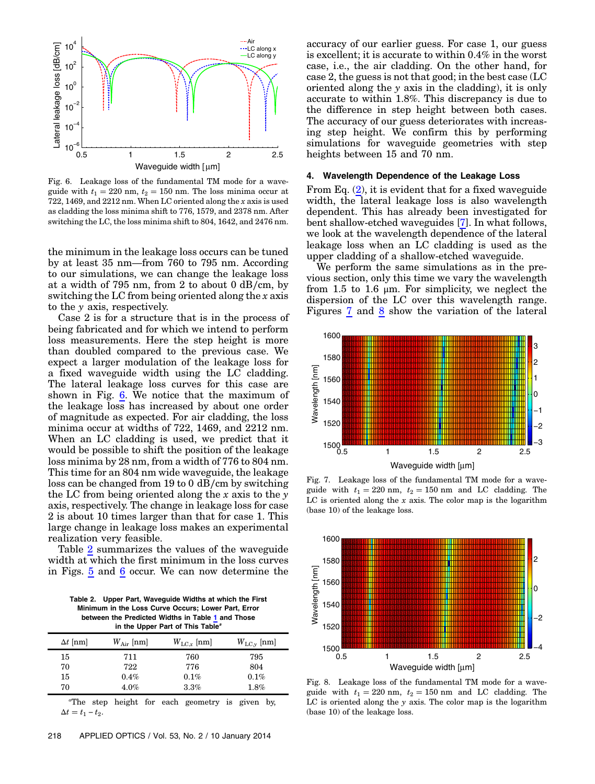<span id="page-4-0"></span>

Fig. 6. Leakage loss of the fundamental TM mode for a waveguide with  $t_1 = 220$  nm,  $t_2 = 150$  nm. The loss minima occur at 722, 1469, and 2212 nm. When LC oriented along the x axis is used as cladding the loss minima shift to 776, 1579, and 2378 nm. After switching the LC, the loss minima shift to 804, 1642, and 2476 nm.

the minimum in the leakage loss occurs can be tuned by at least 35 nm—from 760 to 795 nm. According to our simulations, we can change the leakage loss at a width of 795 nm, from 2 to about 0 dB∕cm, by switching the LC from being oriented along the  $x$  axis to the y axis, respectively.

Case 2 is for a structure that is in the process of being fabricated and for which we intend to perform loss measurements. Here the step height is more than doubled compared to the previous case. We expect a larger modulation of the leakage loss for a fixed waveguide width using the LC cladding. The lateral leakage loss curves for this case are shown in Fig.  $6$ . We notice that the maximum of the leakage loss has increased by about one order of magnitude as expected. For air cladding, the loss minima occur at widths of 722, 1469, and 2212 nm. When an LC cladding is used, we predict that it would be possible to shift the position of the leakage loss minima by 28 nm, from a width of 776 to 804 nm. This time for an 804 nm wide waveguide, the leakage loss can be changed from 19 to 0 dB∕cm by switching the LC from being oriented along the x axis to the  $\gamma$ axis, respectively. The change in leakage loss for case 2 is about 10 times larger than that for case 1. This large change in leakage loss makes an experimental realization very feasible.

Table [2](#page-4-1) summarizes the values of the waveguide width at which the first minimum in the loss curves in Figs. [5](#page-3-2) and [6](#page-4-0) occur. We can now determine the

<span id="page-4-1"></span>Table 2. Upper Part, Waveguide Widths at which the First Minimum in the Loss Curve Occurs; Lower Part, Error between the Predicted Widths in Table [1](#page-3-1) and Those in the Upper Part of This Table<sup>®</sup>

| $\Delta t$ [nm] | $W_{\text{Air}}$ [nm] | $W_{\text{LC},x}$ [nm] | $W_{\text{LC},y}$ [nm] |
|-----------------|-----------------------|------------------------|------------------------|
| 15              | 711                   | 760                    | 795                    |
| 70              | 722                   | 776                    | 804                    |
| 15              | $0.4\%$               | $0.1\%$                | 0.1%                   |
| 70              | $4.0\%$               | 3.3%                   | 1.8%                   |

a The step height for each geometry is given by,  $\Delta t = t_1 - t_2.$ 

accuracy of our earlier guess. For case 1, our guess is excellent; it is accurate to within 0.4% in the worst case, i.e., the air cladding. On the other hand, for case 2, the guess is not that good; in the best case (LC oriented along the y axis in the cladding), it is only accurate to within 1.8%. This discrepancy is due to the difference in step height between both cases. The accuracy of our guess deteriorates with increasing step height. We confirm this by performing simulations for waveguide geometries with step heights between 15 and 70 nm.

## 4. Wavelength Dependence of the Leakage Loss

From Eq.  $(2)$ , it is evident that for a fixed waveguide width, the lateral leakage loss is also wavelength dependent. This has already been investigated for bent shallow-etched waveguides [\[7\]](#page-6-3). In what follows, we look at the wavelength dependence of the lateral leakage loss when an LC cladding is used as the upper cladding of a shallow-etched waveguide.

We perform the same simulations as in the previous section, only this time we vary the wavelength from 1.5 to 1.6 μm. For simplicity, we neglect the dispersion of the LC over this wavelength range. Figures [7](#page-4-2) and [8](#page-4-3) show the variation of the lateral

<span id="page-4-2"></span>

Fig. 7. Leakage loss of the fundamental TM mode for a waveguide with  $t_1 = 220$  nm,  $t_2 = 150$  nm and LC cladding. The LC is oriented along the  $x$  axis. The color map is the logarithm (base 10) of the leakage loss.

<span id="page-4-3"></span>

Fig. 8. Leakage loss of the fundamental TM mode for a waveguide with  $t_1 = 220$  nm,  $t_2 = 150$  nm and LC cladding. The LC is oriented along the  $y$  axis. The color map is the logarithm (base 10) of the leakage loss.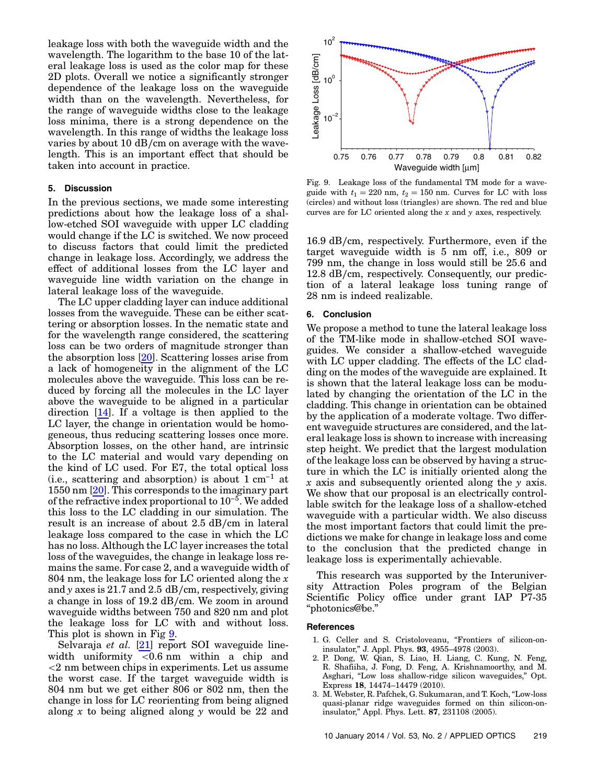leakage loss with both the waveguide width and the wavelength. The logarithm to the base 10 of the lateral leakage loss is used as the color map for these 2D plots. Overall we notice a significantly stronger dependence of the leakage loss on the waveguide width than on the wavelength. Nevertheless, for the range of waveguide widths close to the leakage loss minima, there is a strong dependence on the wavelength. In this range of widths the leakage loss varies by about 10 dB∕cm on average with the wavelength. This is an important effect that should be taken into account in practice.

#### 5. Discussion

In the previous sections, we made some interesting predictions about how the leakage loss of a shallow-etched SOI waveguide with upper LC cladding would change if the LC is switched. We now proceed to discuss factors that could limit the predicted change in leakage loss. Accordingly, we address the effect of additional losses from the LC layer and waveguide line width variation on the change in lateral leakage loss of the waveguide.

The LC upper cladding layer can induce additional losses from the waveguide. These can be either scattering or absorption losses. In the nematic state and for the wavelength range considered, the scattering loss can be two orders of magnitude stronger than the absorption loss [[20\]](#page-6-15). Scattering losses arise from a lack of homogeneity in the alignment of the LC molecules above the waveguide. This loss can be reduced by forcing all the molecules in the LC layer above the waveguide to be aligned in a particular direction [\[14](#page-6-13)]. If a voltage is then applied to the LC layer, the change in orientation would be homogeneous, thus reducing scattering losses once more. Absorption losses, on the other hand, are intrinsic to the LC material and would vary depending on the kind of LC used. For E7, the total optical loss to the LC material and would vary depending on<br>the kind of LC used. For E7, the total optical loss<br>(i.e., scattering and absorption) is about  $1 \text{ cm}^{-1}$  at 1550 nm  $[20]$  $[20]$ . This corresponds to the imaginary part of the refractive index proportional to  $10^{-5}$ . We added (i.e., scattering and absorption) is about 1  $cm^{-1}$  at this loss to the LC cladding in our simulation. The result is an increase of about 2.5 dB∕cm in lateral leakage loss compared to the case in which the LC has no loss. Although the LC layer increases the total loss of the waveguides, the change in leakage loss remains the same. For case 2, and a waveguide width of 804 nm, the leakage loss for LC oriented along the  $x$ and y axes is 21.7 and 2.5 dB/cm, respectively, giving a change in loss of 19.2 dB∕cm. We zoom in around waveguide widths between 750 and 820 nm and plot the leakage loss for LC with and without loss. This plot is shown in Fig [9](#page-5-2).

Selvaraja et al. [[21\]](#page-6-16) report SOI waveguide linewidth uniformity  $\sqrt{6}$  nm within a chip and <2 nm between chips in experiments. Let us assume the worst case. If the target waveguide width is 804 nm but we get either 806 or 802 nm, then the change in loss for LC reorienting from being aligned along  $x$  to being aligned along  $y$  would be 22 and

<span id="page-5-2"></span>

Fig. 9. Leakage loss of the fundamental TM mode for a waveguide with  $t_1 = 220$  nm,  $t_2 = 150$  nm. Curves for LC with loss (circles) and without loss (triangles) are shown. The red and blue curves are for LC oriented along the  $x$  and  $y$  axes, respectively.

16.9 dB∕cm, respectively. Furthermore, even if the target waveguide width is 5 nm off, i.e., 809 or 799 nm, the change in loss would still be 25.6 and 12.8 dB∕cm, respectively. Consequently, our prediction of a lateral leakage loss tuning range of 28 nm is indeed realizable.

#### 6. Conclusion

We propose a method to tune the lateral leakage loss of the TM-like mode in shallow-etched SOI waveguides. We consider a shallow-etched waveguide with LC upper cladding. The effects of the LC cladding on the modes of the waveguide are explained. It is shown that the lateral leakage loss can be modulated by changing the orientation of the LC in the cladding. This change in orientation can be obtained by the application of a moderate voltage. Two different waveguide structures are considered, and the lateral leakage loss is shown to increase with increasing step height. We predict that the largest modulation of the leakage loss can be observed by having a structure in which the LC is initially oriented along the x axis and subsequently oriented along the y axis. We show that our proposal is an electrically controllable switch for the leakage loss of a shallow-etched waveguide with a particular width. We also discuss the most important factors that could limit the predictions we make for change in leakage loss and come to the conclusion that the predicted change in leakage loss is experimentally achievable.

This research was supported by the Interuniversity Attraction Poles program of the Belgian Scientific Policy office under grant IAP P7-35 "photonics@be."

### **References**

- <span id="page-5-0"></span>1. G. Celler and S. Cristoloveanu, "Frontiers of silicon-oninsulator," J. Appl. Phys. <sup>93</sup>, 4955–4978 (2003).
- <span id="page-5-1"></span>2. P. Dong, W. Qian, S. Liao, H. Liang, C. Kung, N. Feng, R. Shafiiha, J. Fong, D. Feng, A. Krishnamoorthy, and M. Asghari, "Low loss shallow-ridge silicon waveguides," Opt. Express <sup>18</sup>, 14474–14479 (2010).
- 3. M. Webster, R. Pafchek, G. Sukumaran, and T. Koch, "Low-loss quasi-planar ridge waveguides formed on thin silicon-oninsulator," Appl. Phys. Lett. <sup>87</sup>, 231108 (2005).